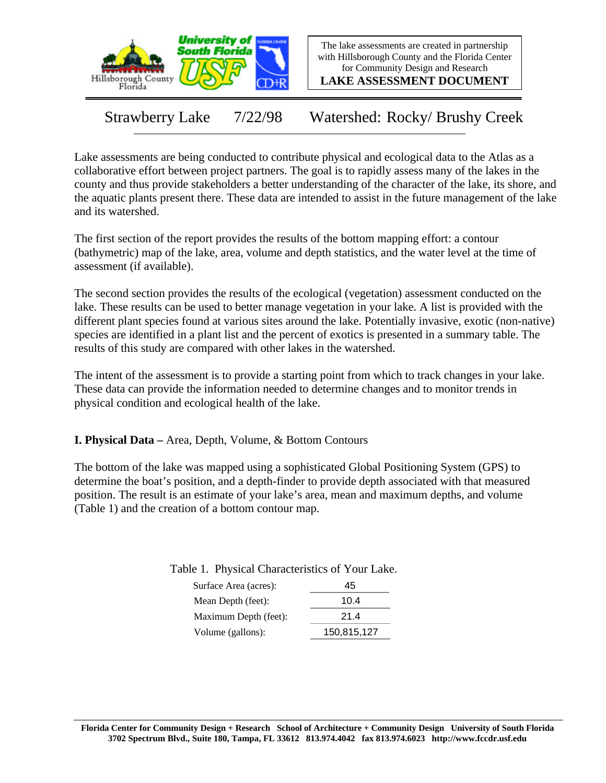

The lake assessments are created in partnership with Hillsborough County and the Florida Center for Community Design and Research

**LAKE ASSESSMENT DOCUMENT**

Strawberry Lake 7/22/98 Watershed: Rocky/ Brushy Creek

Lake assessments are being conducted to contribute physical and ecological data to the Atlas as a collaborative effort between project partners. The goal is to rapidly assess many of the lakes in the county and thus provide stakeholders a better understanding of the character of the lake, its shore, and the aquatic plants present there. These data are intended to assist in the future management of the lake and its watershed.

The first section of the report provides the results of the bottom mapping effort: a contour (bathymetric) map of the lake, area, volume and depth statistics, and the water level at the time of assessment (if available).

The second section provides the results of the ecological (vegetation) assessment conducted on the lake. These results can be used to better manage vegetation in your lake. A list is provided with the different plant species found at various sites around the lake. Potentially invasive, exotic (non-native) species are identified in a plant list and the percent of exotics is presented in a summary table. The results of this study are compared with other lakes in the watershed.

The intent of the assessment is to provide a starting point from which to track changes in your lake. These data can provide the information needed to determine changes and to monitor trends in physical condition and ecological health of the lake.

**I. Physical Data –** Area, Depth, Volume, & Bottom Contours

The bottom of the lake was mapped using a sophisticated Global Positioning System (GPS) to determine the boat's position, and a depth-finder to provide depth associated with that measured position. The result is an estimate of your lake's area, mean and maximum depths, and volume (Table 1) and the creation of a bottom contour map.

Table 1. Physical Characteristics of Your Lake.

| Surface Area (acres): | 45          |
|-----------------------|-------------|
| Mean Depth (feet):    | 10.4        |
| Maximum Depth (feet): | 21.4        |
| Volume (gallons):     | 150,815,127 |
|                       |             |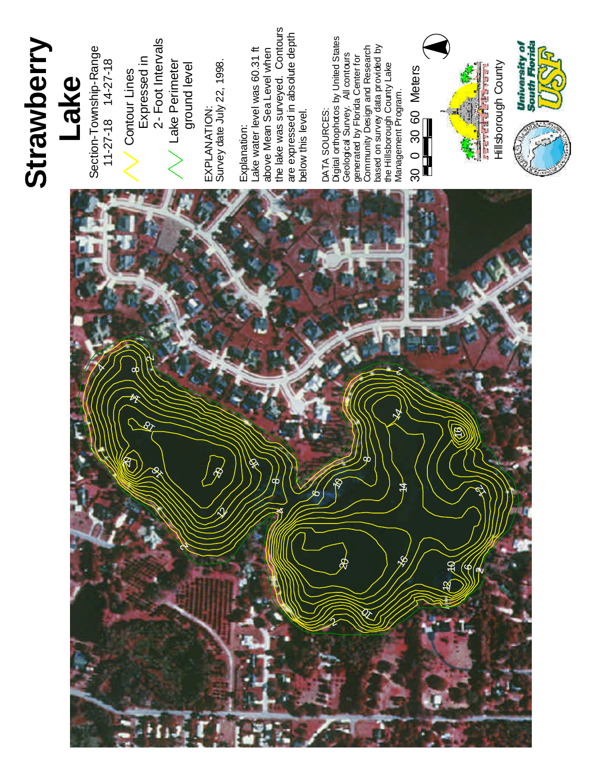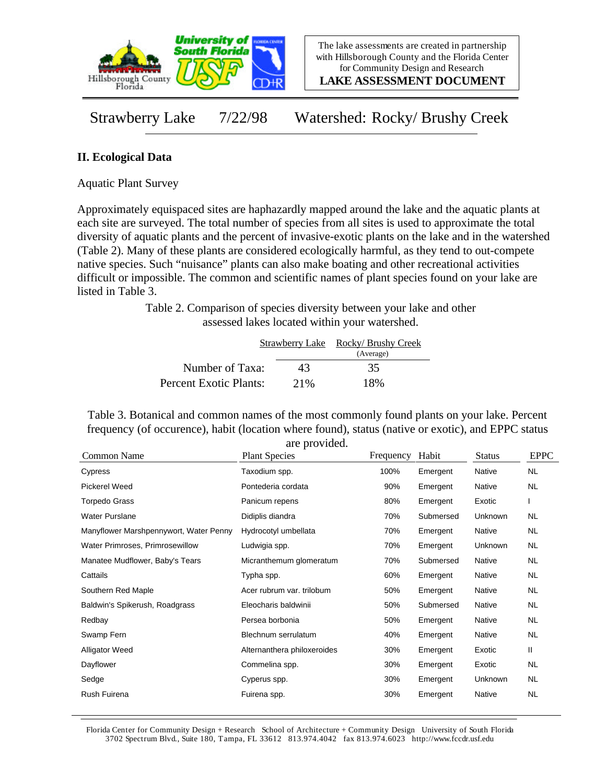

**LAKE ASSESSMENT DOCUMENT**

Strawberry Lake 7/22/98 Watershed: Rocky/ Brushy Creek

## **II. Ecological Data**

Aquatic Plant Survey

Approximately equispaced sites are haphazardly mapped around the lake and the aquatic plants at each site are surveyed. The total number of species from all sites is used to approximate the total diversity of aquatic plants and the percent of invasive-exotic plants on the lake and in the watershed (Table 2). Many of these plants are considered ecologically harmful, as they tend to out-compete native species. Such "nuisance" plants can also make boating and other recreational activities difficult or impossible. The common and scientific names of plant species found on your lake are listed in Table 3.

> Table 2. Comparison of species diversity between your lake and other assessed lakes located within your watershed.

|                        |     | Strawberry Lake Rocky/Brushy Creek<br>(Average) |
|------------------------|-----|-------------------------------------------------|
| Number of Taxa:        | 43  | 35                                              |
| Percent Exotic Plants: | 21% | 18%                                             |

Table 3. Botanical and common names of the most commonly found plants on your lake. Percent frequency (of occurence), habit (location where found), status (native or exotic), and EPPC status are provided.

| Common Name                            | are provided.<br><b>Plant Species</b> | Frequency | Habit     | <b>Status</b> | <b>EPPC</b> |
|----------------------------------------|---------------------------------------|-----------|-----------|---------------|-------------|
| Cypress                                | Taxodium spp.                         | 100%      | Emergent  | Native        | <b>NL</b>   |
| Pickerel Weed                          | Pontederia cordata                    | 90%       | Emergent  | Native        | NL          |
| <b>Torpedo Grass</b>                   | Panicum repens                        | 80%       | Emergent  | Exotic        |             |
| <b>Water Purslane</b>                  | Didiplis diandra                      | 70%       | Submersed | Unknown       | NL.         |
| Manyflower Marshpennywort, Water Penny | Hydrocotyl umbellata                  | 70%       | Emergent  | Native        | NL.         |
| Water Primroses, Primrosewillow        | Ludwigia spp.                         | 70%       | Emergent  | Unknown       | NL.         |
| Manatee Mudflower, Baby's Tears        | Micranthemum glomeratum               | 70%       | Submersed | <b>Native</b> | <b>NL</b>   |
| Cattails                               | Typha spp.                            | 60%       | Emergent  | Native        | NL.         |
| Southern Red Maple                     | Acer rubrum var. trilobum             | 50%       | Emergent  | Native        | NL.         |
| Baldwin's Spikerush, Roadgrass         | Eleocharis baldwinii                  | 50%       | Submersed | Native        | NL.         |
| Redbay                                 | Persea borbonia                       | 50%       | Emergent  | Native        | NL.         |
| Swamp Fern                             | Blechnum serrulatum                   | 40%       | Emergent  | Native        | <b>NL</b>   |
| <b>Alligator Weed</b>                  | Alternanthera philoxeroides           | 30%       | Emergent  | Exotic        | Ш           |
| Dayflower                              | Commelina spp.                        | 30%       | Emergent  | Exotic        | NL.         |
| Sedge                                  | Cyperus spp.                          | 30%       | Emergent  | Unknown       | NL.         |
| Rush Fuirena                           | Fuirena spp.                          | 30%       | Emergent  | Native        | <b>NL</b>   |

Florida Center for Community Design + Research School of Architecture + Community Design University of South Florida 3702 Spectrum Blvd., Suite 180, Tampa, FL 33612 813.974.4042 fax 813.974.6023 http://www.fccdr.usf.edu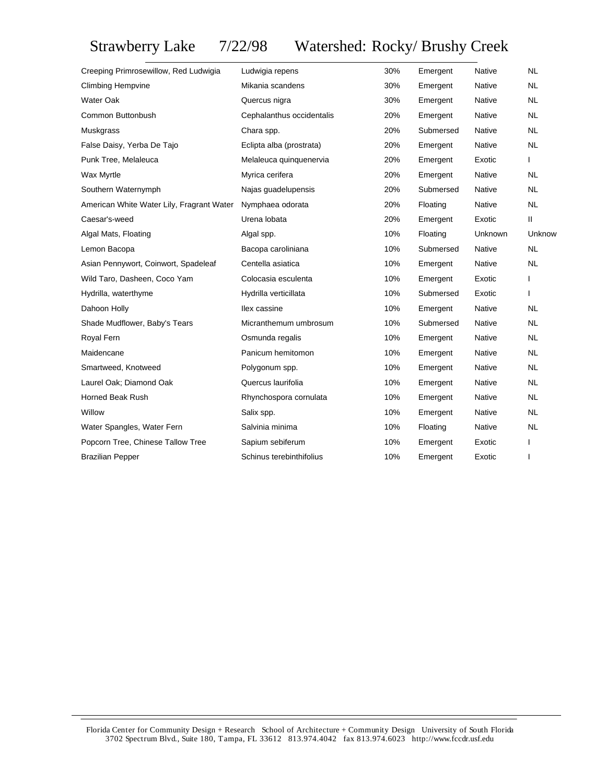## Strawberry Lake 7/22/98 Watershed: Rocky/ Brushy Creek

| Creeping Primrosewillow, Red Ludwigia     | Ludwigia repens           | 30% | Emergent  | Native        | <b>NL</b>    |
|-------------------------------------------|---------------------------|-----|-----------|---------------|--------------|
| <b>Climbing Hempvine</b>                  | Mikania scandens          | 30% | Emergent  | Native        | <b>NL</b>    |
| <b>Water Oak</b>                          | Quercus nigra             | 30% | Emergent  | Native        | <b>NL</b>    |
| Common Buttonbush                         | Cephalanthus occidentalis | 20% | Emergent  | Native        | <b>NL</b>    |
| Muskgrass                                 | Chara spp.                | 20% | Submersed | Native        | <b>NL</b>    |
| False Daisy, Yerba De Tajo                | Eclipta alba (prostrata)  | 20% | Emergent  | Native        | <b>NL</b>    |
| Punk Tree, Melaleuca                      | Melaleuca quinquenervia   | 20% | Emergent  | Exotic        | L            |
| Wax Myrtle                                | Myrica cerifera           | 20% | Emergent  | Native        | <b>NL</b>    |
| Southern Waternymph                       | Najas guadelupensis       | 20% | Submersed | Native        | <b>NL</b>    |
| American White Water Lily, Fragrant Water | Nymphaea odorata          | 20% | Floating  | Native        | <b>NL</b>    |
| Caesar's-weed                             | Urena lobata              | 20% | Emergent  | Exotic        | Ш            |
| Algal Mats, Floating                      | Algal spp.                | 10% | Floating  | Unknown       | Unknow       |
| Lemon Bacopa                              | Bacopa caroliniana        | 10% | Submersed | Native        | <b>NL</b>    |
| Asian Pennywort, Coinwort, Spadeleaf      | Centella asiatica         | 10% | Emergent  | Native        | <b>NL</b>    |
| Wild Taro, Dasheen, Coco Yam              | Colocasia esculenta       | 10% | Emergent  | Exotic        | $\mathbf{I}$ |
| Hydrilla, waterthyme                      | Hydrilla verticillata     | 10% | Submersed | Exotic        |              |
| Dahoon Holly                              | Ilex cassine              | 10% | Emergent  | <b>Native</b> | <b>NL</b>    |
| Shade Mudflower, Baby's Tears             | Micranthemum umbrosum     | 10% | Submersed | <b>Native</b> | <b>NL</b>    |
| Royal Fern                                | Osmunda regalis           | 10% | Emergent  | <b>Native</b> | <b>NL</b>    |
| Maidencane                                | Panicum hemitomon         | 10% | Emergent  | Native        | <b>NL</b>    |
| Smartweed, Knotweed                       | Polygonum spp.            | 10% | Emergent  | <b>Native</b> | <b>NL</b>    |
| Laurel Oak; Diamond Oak                   | Quercus laurifolia        | 10% | Emergent  | Native        | <b>NL</b>    |
| <b>Horned Beak Rush</b>                   | Rhynchospora cornulata    | 10% | Emergent  | Native        | <b>NL</b>    |
| Willow                                    | Salix spp.                | 10% | Emergent  | <b>Native</b> | <b>NL</b>    |
| Water Spangles, Water Fern                | Salvinia minima           | 10% | Floating  | Native        | <b>NL</b>    |
| Popcorn Tree, Chinese Tallow Tree         | Sapium sebiferum          | 10% | Emergent  | Exotic        |              |
| <b>Brazilian Pepper</b>                   | Schinus terebinthifolius  | 10% | Emergent  | Exotic        | I.           |
|                                           |                           |     |           |               |              |